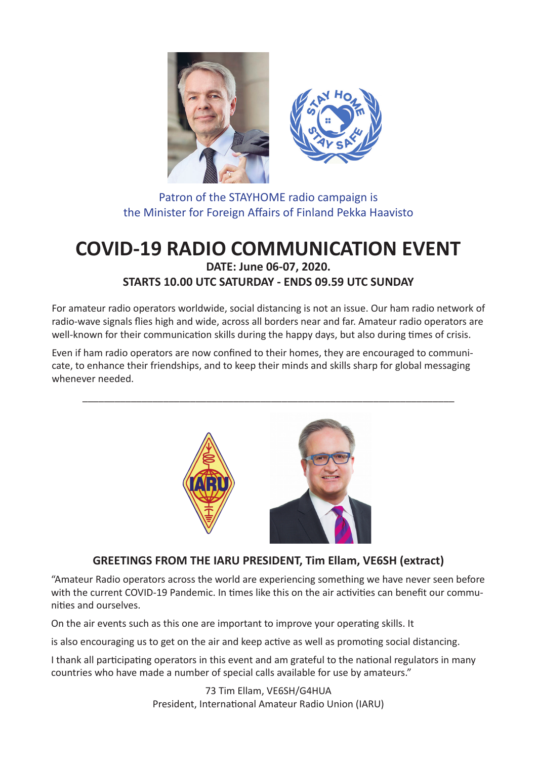

Patron of the STAYHOME radio campaign is the Minister for Foreign Affairs of Finland Pekka Haavisto

# **COVID-19 RADIO COMMUNICATION EVENT DATE: June 06-07, 2020. STARTS 10.00 UTC SATURDAY - ENDS 09.59 UTC SUNDAY**

For amateur radio operators worldwide, social distancing is not an issue. Our ham radio network of radio-wave signals flies high and wide, across all borders near and far. Amateur radio operators are well-known for their communication skills during the happy days, but also during times of crisis.

Even if ham radio operators are now confined to their homes, they are encouraged to communicate, to enhance their friendships, and to keep their minds and skills sharp for global messaging whenever needed.

\_\_\_\_\_\_\_\_\_\_\_\_\_\_\_\_\_\_\_\_\_\_\_\_\_\_\_\_\_\_\_\_\_\_\_\_\_\_\_\_\_\_\_\_\_\_\_\_\_\_\_\_\_\_\_\_\_\_\_\_\_\_\_\_\_\_\_\_\_



# **GREETINGS FROM THE IARU PRESIDENT, Tim Ellam, VE6SH (extract)**

"Amateur Radio operators across the world are experiencing something we have never seen before with the current COVID-19 Pandemic. In times like this on the air activities can benefit our communities and ourselves.

On the air events such as this one are important to improve your operating skills. It

is also encouraging us to get on the air and keep active as well as promoting social distancing.

I thank all participating operators in this event and am grateful to the national regulators in many countries who have made a number of special calls available for use by amateurs."

> 73 Tim Ellam, VE6SH/G4HUA President, International Amateur Radio Union (IARU)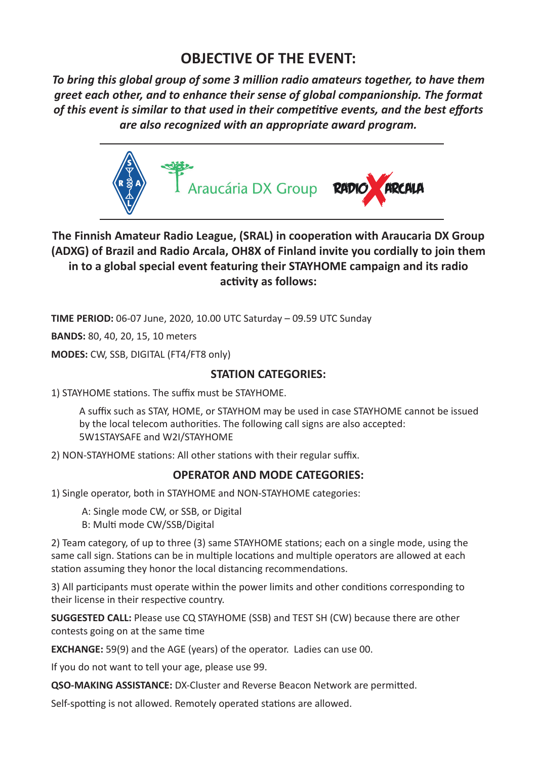# **OBJECTIVE OF THE EVENT:**

*To bring this global group of some 3 million radio amateurs together, to have them greet each other, and to enhance their sense of global companionship. The format*  of this event is similar to that used in their competitive events, and the best efforts *are also recognized with an appropriate award program.*



**The Finnish Amateur Radio League, (SRAL) in cooperation with Araucaria DX Group (ADXG) of Brazil and Radio Arcala, OH8X of Finland invite you cordially to join them in to a global special event featuring their STAYHOME campaign and its radio**  activity as follows:

**TIME PERIOD:** 06-07 June, 2020, 10.00 UTC Saturday – 09.59 UTC Sunday

**BANDS:** 80, 40, 20, 15, 10 meters

**MODES:** CW, SSB, DIGITAL (FT4/FT8 only)

## **STATION CATEGORIES:**

1) STAYHOME stations. The suffix must be STAYHOME.

A suffix such as STAY, HOME, or STAYHOM may be used in case STAYHOME cannot be issued by the local telecom authorities. The following call signs are also accepted: 5W1STAYSAFE and W2I/STAYHOME

2) NON-STAYHOME stations: All other stations with their regular suffix.

# **OPERATOR AND MODE CATEGORIES:**

1) Single operator, both in STAYHOME and NON-STAYHOME categories:

A: Single mode CW, or SSB, or Digital

B: Multi mode CW/SSB/Digital

2) Team category, of up to three (3) same STAYHOME stations; each on a single mode, using the same call sign. Stations can be in multiple locations and multiple operators are allowed at each station assuming they honor the local distancing recommendations.

3) All participants must operate within the power limits and other conditions corresponding to their license in their respective country.

**SUGGESTED CALL:** Please use CQ STAYHOME (SSB) and TEST SH (CW) because there are other contests going on at the same time

**EXCHANGE:** 59(9) and the AGE (years) of the operator. Ladies can use 00.

If you do not want to tell your age, please use 99.

**QSO-MAKING ASSISTANCE:** DX-Cluster and Reverse Beacon Network are permitted.

Self-spotting is not allowed. Remotely operated stations are allowed.